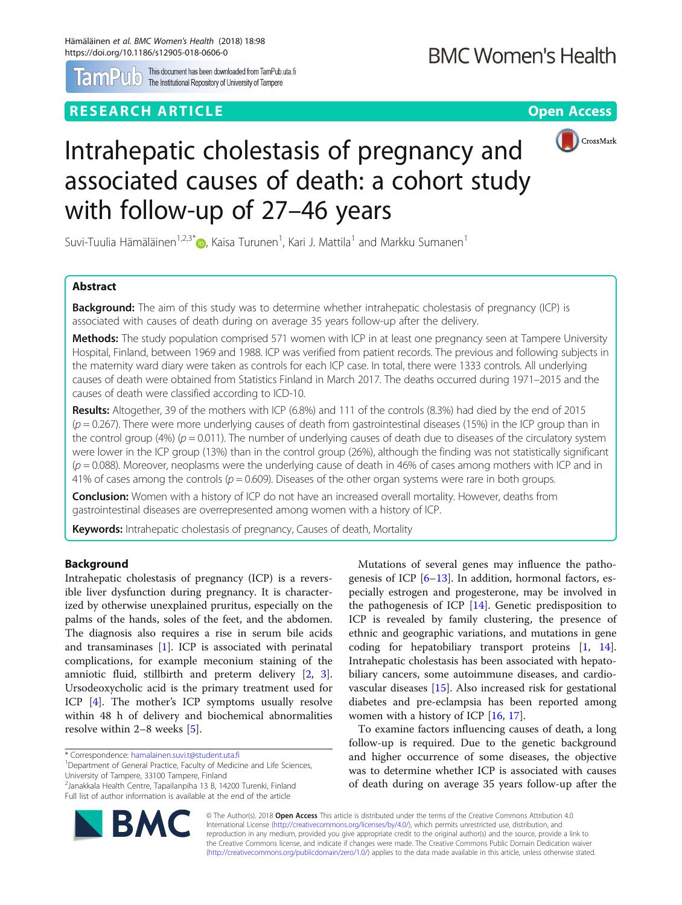

This document has been downloaded from TamPub.<br>The Institutional Repository of University of Tampere This document has been downloaded from TamPub.uta.fi

# **RESEARCH ARTICLE Example 2018 12:30 The CONSTRUCTION CONSTRUCTS Open Access**



# Intrahepatic cholestasis of pregnancy and associated causes of death: a cohort study with follow-up of 27–46 years

Suvi-Tuulia Hämäläinen $^{1,2,3^*}$  $^{1,2,3^*}$  $^{1,2,3^*}$  $\bm{\mathbb{\Theta}}$ , Kaisa Turunen $^1$ , Kari J. Mattila $^1$  and Markku Sumanen $^1$ 

# Abstract

**Background:** The aim of this study was to determine whether intrahepatic cholestasis of pregnancy (ICP) is associated with causes of death during on average 35 years follow-up after the delivery.

Methods: The study population comprised 571 women with ICP in at least one pregnancy seen at Tampere University Hospital, Finland, between 1969 and 1988. ICP was verified from patient records. The previous and following subjects in the maternity ward diary were taken as controls for each ICP case. In total, there were 1333 controls. All underlying causes of death were obtained from Statistics Finland in March 2017. The deaths occurred during 1971–2015 and the causes of death were classified according to ICD-10.

Results: Altogether, 39 of the mothers with ICP (6.8%) and 111 of the controls (8.3%) had died by the end of 2015  $(p = 0.267)$ . There were more underlying causes of death from gastrointestinal diseases (15%) in the ICP group than in the control group (4%) ( $p = 0.011$ ). The number of underlying causes of death due to diseases of the circulatory system were lower in the ICP group (13%) than in the control group (26%), although the finding was not statistically significant  $(p = 0.088)$ . Moreover, neoplasms were the underlying cause of death in 46% of cases among mothers with ICP and in 41% of cases among the controls ( $p = 0.609$ ). Diseases of the other organ systems were rare in both groups.

**Conclusion:** Women with a history of ICP do not have an increased overall mortality. However, deaths from gastrointestinal diseases are overrepresented among women with a history of ICP.

Keywords: Intrahepatic cholestasis of pregnancy, Causes of death, Mortality

# **Background**

Intrahepatic cholestasis of pregnancy (ICP) is a reversible liver dysfunction during pregnancy. It is characterized by otherwise unexplained pruritus, especially on the palms of the hands, soles of the feet, and the abdomen. The diagnosis also requires a rise in serum bile acids and transaminases [\[1](#page-3-0)]. ICP is associated with perinatal complications, for example meconium staining of the amniotic fluid, stillbirth and preterm delivery [\[2](#page-3-0), [3](#page-3-0)]. Ursodeoxycholic acid is the primary treatment used for ICP [[4\]](#page-3-0). The mother's ICP symptoms usually resolve within 48 h of delivery and biochemical abnormalities resolve within 2–8 weeks [\[5](#page-3-0)].



To examine factors influencing causes of death, a long follow-up is required. Due to the genetic background and higher occurrence of some diseases, the objective was to determine whether ICP is associated with causes of death during on average 35 years follow-up after the





<sup>\*</sup> Correspondence: [hamalainen.suvi.t@student.uta.fi](mailto:hamalainen.suvi.t@student.uta.fi) <sup>1</sup>

<sup>&</sup>lt;sup>1</sup>Department of General Practice, Faculty of Medicine and Life Sciences, University of Tampere, 33100 Tampere, Finland

<sup>2</sup> Janakkala Health Centre, Tapailanpiha 13 B, 14200 Turenki, Finland Full list of author information is available at the end of the article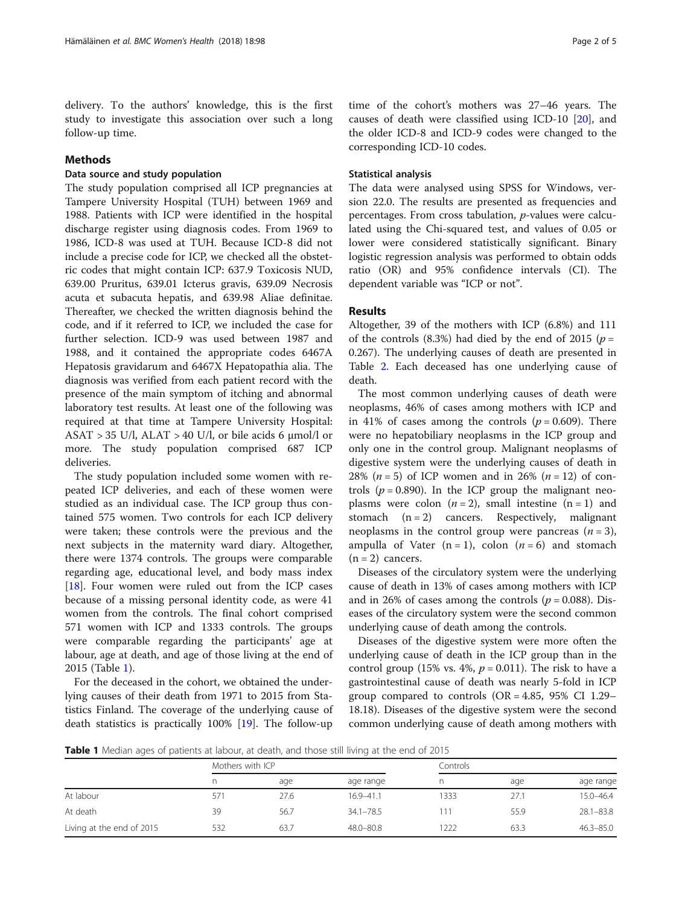delivery. To the authors' knowledge, this is the first study to investigate this association over such a long follow-up time.

# Methods

# Data source and study population

The study population comprised all ICP pregnancies at Tampere University Hospital (TUH) between 1969 and 1988. Patients with ICP were identified in the hospital discharge register using diagnosis codes. From 1969 to 1986, ICD-8 was used at TUH. Because ICD-8 did not include a precise code for ICP, we checked all the obstetric codes that might contain ICP: 637.9 Toxicosis NUD, 639.00 Pruritus, 639.01 Icterus gravis, 639.09 Necrosis acuta et subacuta hepatis, and 639.98 Aliae definitae. Thereafter, we checked the written diagnosis behind the code, and if it referred to ICP, we included the case for further selection. ICD-9 was used between 1987 and 1988, and it contained the appropriate codes 6467A Hepatosis gravidarum and 6467X Hepatopathia alia. The diagnosis was verified from each patient record with the presence of the main symptom of itching and abnormal laboratory test results. At least one of the following was required at that time at Tampere University Hospital:  $ASAT > 35$  U/l,  $ALAT > 40$  U/l, or bile acids 6  $\mu$ mol/l or more. The study population comprised 687 ICP deliveries.

The study population included some women with repeated ICP deliveries, and each of these women were studied as an individual case. The ICP group thus contained 575 women. Two controls for each ICP delivery were taken; these controls were the previous and the next subjects in the maternity ward diary. Altogether, there were 1374 controls. The groups were comparable regarding age, educational level, and body mass index [[18\]](#page-4-0). Four women were ruled out from the ICP cases because of a missing personal identity code, as were 41 women from the controls. The final cohort comprised 571 women with ICP and 1333 controls. The groups were comparable regarding the participants' age at labour, age at death, and age of those living at the end of 2015 (Table 1).

For the deceased in the cohort, we obtained the underlying causes of their death from 1971 to 2015 from Statistics Finland. The coverage of the underlying cause of death statistics is practically 100% [[19](#page-4-0)]. The follow-up

time of the cohort's mothers was 27–46 years. The causes of death were classified using ICD-10 [[20\]](#page-4-0), and the older ICD-8 and ICD-9 codes were changed to the corresponding ICD-10 codes.

## Statistical analysis

The data were analysed using SPSS for Windows, version 22.0. The results are presented as frequencies and percentages. From cross tabulation, p-values were calculated using the Chi-squared test, and values of 0.05 or lower were considered statistically significant. Binary logistic regression analysis was performed to obtain odds ratio (OR) and 95% confidence intervals (CI). The dependent variable was "ICP or not".

## Results

Altogether, 39 of the mothers with ICP (6.8%) and 111 of the controls (8.3%) had died by the end of 2015 ( $p =$ 0.267). The underlying causes of death are presented in Table [2](#page-2-0). Each deceased has one underlying cause of death.

The most common underlying causes of death were neoplasms, 46% of cases among mothers with ICP and in 41% of cases among the controls  $(p = 0.609)$ . There were no hepatobiliary neoplasms in the ICP group and only one in the control group. Malignant neoplasms of digestive system were the underlying causes of death in 28% ( $n = 5$ ) of ICP women and in 26% ( $n = 12$ ) of controls ( $p = 0.890$ ). In the ICP group the malignant neoplasms were colon  $(n = 2)$ , small intestine  $(n = 1)$  and stomach  $(n = 2)$  cancers. Respectively, malignant neoplasms in the control group were pancreas  $(n = 3)$ , ampulla of Vater  $(n = 1)$ , colon  $(n = 6)$  and stomach  $(n = 2)$  cancers.

Diseases of the circulatory system were the underlying cause of death in 13% of cases among mothers with ICP and in 26% of cases among the controls ( $p = 0.088$ ). Diseases of the circulatory system were the second common underlying cause of death among the controls.

Diseases of the digestive system were more often the underlying cause of death in the ICP group than in the control group (15% vs. 4%,  $p = 0.011$ ). The risk to have a gastrointestinal cause of death was nearly 5-fold in ICP group compared to controls (OR =  $4.85$ , 95% CI 1.29– 18.18). Diseases of the digestive system were the second common underlying cause of death among mothers with

**Table 1** Median ages of patients at labour, at death, and those still living at the end of 2015

| $\tilde{\phantom{a}}$     | Mothers with ICP |      |               | Controls |      |               |  |
|---------------------------|------------------|------|---------------|----------|------|---------------|--|
|                           |                  | age  | age range     |          | age  | age range     |  |
| At labour                 | 571              | 27.6 | $16.9 - 41.1$ | 1333     | 27.1 | $15.0 - 46.4$ |  |
| At death                  | 39               | 56.7 | $34.1 - 78.5$ | 111      | 55.9 | $28.1 - 83.8$ |  |
| Living at the end of 2015 | 532              | 63.7 | 48.0-80.8     | 1222     | 63.3 | $46.3 - 85.0$ |  |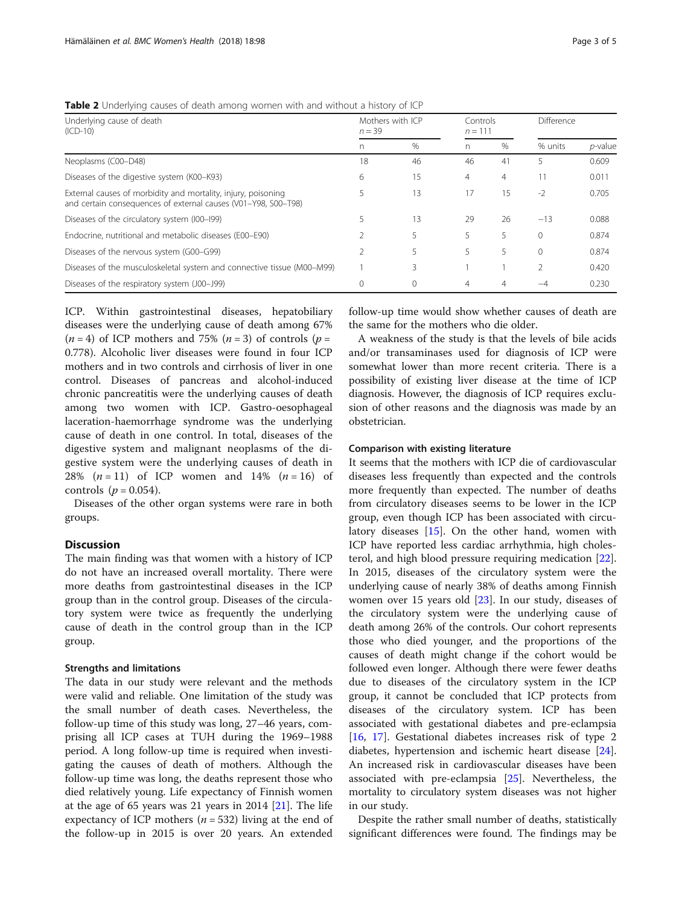| Underlying cause of death<br>$(ICD-10)$                                                                                         | Mothers with ICP<br>$n = 39$ |               | Controls<br>$n = 111$ |    | Difference |            |
|---------------------------------------------------------------------------------------------------------------------------------|------------------------------|---------------|-----------------------|----|------------|------------|
|                                                                                                                                 | n                            | $\frac{0}{0}$ | n                     | %  | % units    | $p$ -value |
| Neoplasms (C00-D48)                                                                                                             | 18                           | 46            | 46                    | 41 |            | 0.609      |
| Diseases of the digestive system (K00-K93)                                                                                      | 6                            | 15            | $\overline{4}$        | 4  |            | 0.011      |
| External causes of morbidity and mortality, injury, poisoning<br>and certain consequences of external causes (V01-Y98, S00-T98) |                              | 13            | 17                    | 15 | $-2$       | 0.705      |
| Diseases of the circulatory system (I00-I99)                                                                                    |                              | 13            | 29                    | 26 | $-13$      | 0.088      |
| Endocrine, nutritional and metabolic diseases (E00–E90)                                                                         |                              |               | 5                     | 5  | $\Omega$   | 0.874      |
| Diseases of the nervous system (G00-G99)                                                                                        |                              | 5             | 5                     | 5  | $\Omega$   | 0.874      |
| Diseases of the musculoskeletal system and connective tissue (M00-M99)                                                          |                              | ξ             |                       |    | 2          | 0.420      |
| Diseases of the respiratory system (J00-J99)                                                                                    |                              | $\Omega$      | 4                     | 4  | $-\Delta$  | 0.230      |

<span id="page-2-0"></span>Table 2 Underlying causes of death among women with and without a history of ICP

ICP. Within gastrointestinal diseases, hepatobiliary diseases were the underlying cause of death among 67%  $(n = 4)$  of ICP mothers and 75%  $(n = 3)$  of controls  $(p = 1)$ 0.778). Alcoholic liver diseases were found in four ICP mothers and in two controls and cirrhosis of liver in one control. Diseases of pancreas and alcohol-induced chronic pancreatitis were the underlying causes of death among two women with ICP. Gastro-oesophageal laceration-haemorrhage syndrome was the underlying cause of death in one control. In total, diseases of the digestive system and malignant neoplasms of the digestive system were the underlying causes of death in 28%  $(n = 11)$  of ICP women and 14%  $(n = 16)$  of controls  $(p = 0.054)$ .

Diseases of the other organ systems were rare in both groups.

# Discussion

The main finding was that women with a history of ICP do not have an increased overall mortality. There were more deaths from gastrointestinal diseases in the ICP group than in the control group. Diseases of the circulatory system were twice as frequently the underlying cause of death in the control group than in the ICP group.

## Strengths and limitations

The data in our study were relevant and the methods were valid and reliable. One limitation of the study was the small number of death cases. Nevertheless, the follow-up time of this study was long, 27–46 years, comprising all ICP cases at TUH during the 1969–1988 period. A long follow-up time is required when investigating the causes of death of mothers. Although the follow-up time was long, the deaths represent those who died relatively young. Life expectancy of Finnish women at the age of 65 years was 21 years in 2014 [\[21](#page-4-0)]. The life expectancy of ICP mothers ( $n = 532$ ) living at the end of the follow-up in 2015 is over 20 years. An extended follow-up time would show whether causes of death are the same for the mothers who die older.

A weakness of the study is that the levels of bile acids and/or transaminases used for diagnosis of ICP were somewhat lower than more recent criteria. There is a possibility of existing liver disease at the time of ICP diagnosis. However, the diagnosis of ICP requires exclusion of other reasons and the diagnosis was made by an obstetrician.

#### Comparison with existing literature

It seems that the mothers with ICP die of cardiovascular diseases less frequently than expected and the controls more frequently than expected. The number of deaths from circulatory diseases seems to be lower in the ICP group, even though ICP has been associated with circulatory diseases [\[15\]](#page-4-0). On the other hand, women with ICP have reported less cardiac arrhythmia, high cholesterol, and high blood pressure requiring medication [\[22](#page-4-0)]. In 2015, diseases of the circulatory system were the underlying cause of nearly 38% of deaths among Finnish women over 15 years old  $[23]$  $[23]$  $[23]$ . In our study, diseases of the circulatory system were the underlying cause of death among 26% of the controls. Our cohort represents those who died younger, and the proportions of the causes of death might change if the cohort would be followed even longer. Although there were fewer deaths due to diseases of the circulatory system in the ICP group, it cannot be concluded that ICP protects from diseases of the circulatory system. ICP has been associated with gestational diabetes and pre-eclampsia [[16,](#page-4-0) [17\]](#page-4-0). Gestational diabetes increases risk of type 2 diabetes, hypertension and ischemic heart disease [\[24](#page-4-0)]. An increased risk in cardiovascular diseases have been associated with pre-eclampsia [\[25](#page-4-0)]. Nevertheless, the mortality to circulatory system diseases was not higher in our study.

Despite the rather small number of deaths, statistically significant differences were found. The findings may be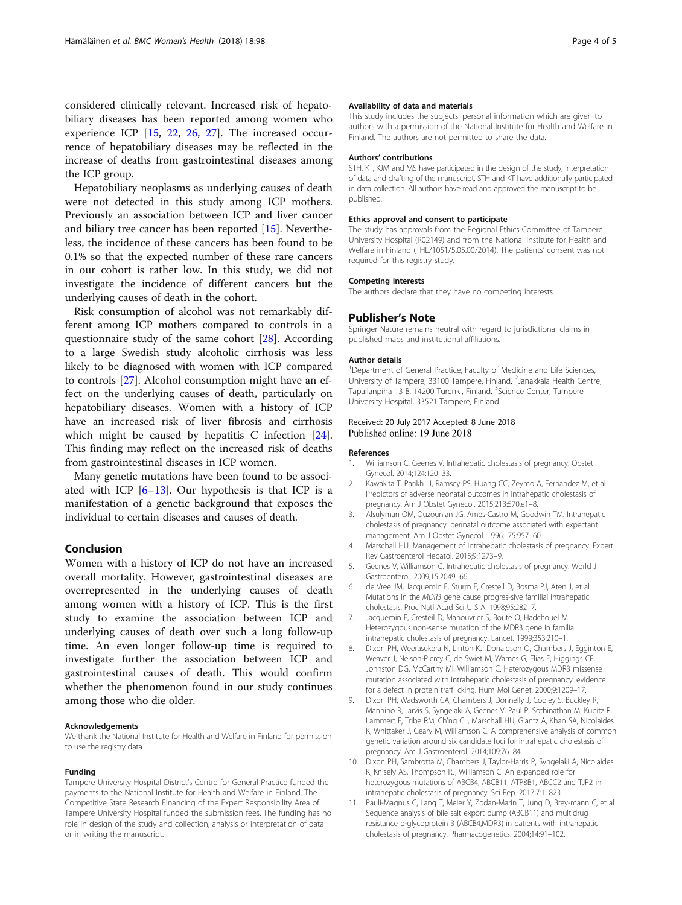<span id="page-3-0"></span>considered clinically relevant. Increased risk of hepatobiliary diseases has been reported among women who experience ICP [[15,](#page-4-0) [22,](#page-4-0) [26,](#page-4-0) [27\]](#page-4-0). The increased occurrence of hepatobiliary diseases may be reflected in the increase of deaths from gastrointestinal diseases among the ICP group.

Hepatobiliary neoplasms as underlying causes of death were not detected in this study among ICP mothers. Previously an association between ICP and liver cancer and biliary tree cancer has been reported [\[15](#page-4-0)]. Nevertheless, the incidence of these cancers has been found to be 0.1% so that the expected number of these rare cancers in our cohort is rather low. In this study, we did not investigate the incidence of different cancers but the underlying causes of death in the cohort.

Risk consumption of alcohol was not remarkably different among ICP mothers compared to controls in a questionnaire study of the same cohort [\[28\]](#page-4-0). According to a large Swedish study alcoholic cirrhosis was less likely to be diagnosed with women with ICP compared to controls [[27\]](#page-4-0). Alcohol consumption might have an effect on the underlying causes of death, particularly on hepatobiliary diseases. Women with a history of ICP have an increased risk of liver fibrosis and cirrhosis which might be caused by hepatitis C infection [\[24](#page-4-0)]. This finding may reflect on the increased risk of deaths from gastrointestinal diseases in ICP women.

Many genetic mutations have been found to be associated with ICP  $[6-13]$  $[6-13]$ . Our hypothesis is that ICP is a manifestation of a genetic background that exposes the individual to certain diseases and causes of death.

## Conclusion

Women with a history of ICP do not have an increased overall mortality. However, gastrointestinal diseases are overrepresented in the underlying causes of death among women with a history of ICP. This is the first study to examine the association between ICP and underlying causes of death over such a long follow-up time. An even longer follow-up time is required to investigate further the association between ICP and gastrointestinal causes of death. This would confirm whether the phenomenon found in our study continues among those who die older.

#### Acknowledgements

We thank the National Institute for Health and Welfare in Finland for permission to use the registry data.

#### Funding

Tampere University Hospital District's Centre for General Practice funded the payments to the National Institute for Health and Welfare in Finland. The Competitive State Research Financing of the Expert Responsibility Area of Tampere University Hospital funded the submission fees. The funding has no role in design of the study and collection, analysis or interpretation of data or in writing the manuscript.

#### Availability of data and materials

This study includes the subjects' personal information which are given to authors with a permission of the National Institute for Health and Welfare in Finland. The authors are not permitted to share the data.

#### Authors' contributions

STH, KT, KJM and MS have participated in the design of the study, interpretation of data and drafting of the manuscript. STH and KT have additionally participated in data collection. All authors have read and approved the manuscript to be published.

#### Ethics approval and consent to participate

The study has approvals from the Regional Ethics Committee of Tampere University Hospital (R02149) and from the National Institute for Health and Welfare in Finland (THL/1051/5.05.00/2014). The patients' consent was not required for this registry study.

#### Competing interests

The authors declare that they have no competing interests.

#### Publisher's Note

Springer Nature remains neutral with regard to jurisdictional claims in published maps and institutional affiliations.

#### Author details

<sup>1</sup>Department of General Practice, Faculty of Medicine and Life Sciences, University of Tampere, 33100 Tampere, Finland. <sup>2</sup> Janakkala Health Centre Tapailanpiha 13 B, 14200 Turenki, Finland. <sup>3</sup>Science Center, Tampere University Hospital, 33521 Tampere, Finland.

#### Received: 20 July 2017 Accepted: 8 June 2018 Published online: 19 June 2018

#### References

- 1. Williamson C, Geenes V. Intrahepatic cholestasis of pregnancy. Obstet Gynecol. 2014;124:120–33.
- 2. Kawakita T, Parikh LI, Ramsey PS, Huang CC, Zeymo A, Fernandez M, et al. Predictors of adverse neonatal outcomes in intrahepatic cholestasis of pregnancy. Am J Obstet Gynecol. 2015;213:570.e1–8.
- 3. Alsulyman OM, Ouzounian JG, Ames-Castro M, Goodwin TM. Intrahepatic cholestasis of pregnancy: perinatal outcome associated with expectant management. Am J Obstet Gynecol. 1996;175:957–60.
- 4. Marschall HU. Management of intrahepatic cholestasis of pregnancy. Expert Rev Gastroenterol Hepatol. 2015;9:1273–9.
- 5. Geenes V, Williamson C. Intrahepatic cholestasis of pregnancy. World J Gastroenterol. 2009;15:2049–66.
- 6. de Vree JM, Jacquemin E, Sturm E, Cresteil D, Bosma PJ, Aten J, et al. Mutations in the MDR3 gene cause progres-sive familial intrahepatic cholestasis. Proc Natl Acad Sci U S A. 1998;95:282–7.
- 7. Jacquemin E, Cresteil D, Manouvrier S, Boute O, Hadchouel M. Heterozygous non-sense mutation of the MDR3 gene in familial intrahepatic cholestasis of pregnancy. Lancet. 1999;353:210–1.
- 8. Dixon PH, Weerasekera N, Linton KJ, Donaldson O, Chambers J, Egginton E, Weaver J, Nelson-Piercy C, de Swiet M, Warnes G, Elias E, Higgings CF, Johnston DG, McCarthy MI, Williamson C. Heterozygous MDR3 missense mutation associated with intrahepatic cholestasis of pregnancy: evidence for a defect in protein traffi cking. Hum Mol Genet. 2000;9:1209–17.
- 9. Dixon PH, Wadsworth CA, Chambers J, Donnelly J, Cooley S, Buckley R, Mannino R, Jarvis S, Syngelaki A, Geenes V, Paul P, Sothinathan M, Kubitz R, Lammert F, Tribe RM, Ch'ng CL, Marschall HU, Glantz A, Khan SA, Nicolaides K, Whittaker J, Geary M, Williamson C. A comprehensive analysis of common genetic variation around six candidate loci for intrahepatic cholestasis of pregnancy. Am J Gastroenterol. 2014;109:76–84.
- 10. Dixon PH, Sambrotta M, Chambers J, Taylor-Harris P, Syngelaki A, Nicolaides K, Knisely AS, Thompson RJ, Williamson C. An expanded role for heterozygous mutations of ABCB4, ABCB11, ATP8B1, ABCC2 and TJP2 in intrahepatic cholestasis of pregnancy. Sci Rep. 2017;7:11823.
- 11. Pauli-Magnus C, Lang T, Meier Y, Zodan-Marin T, Jung D, Brey-mann C, et al. Sequence analysis of bile salt export pump (ABCB11) and multidrug resistance p-glycoprotein 3 (ABCB4,MDR3) in patients with intrahepatic cholestasis of pregnancy. Pharmacogenetics. 2004;14:91–102.